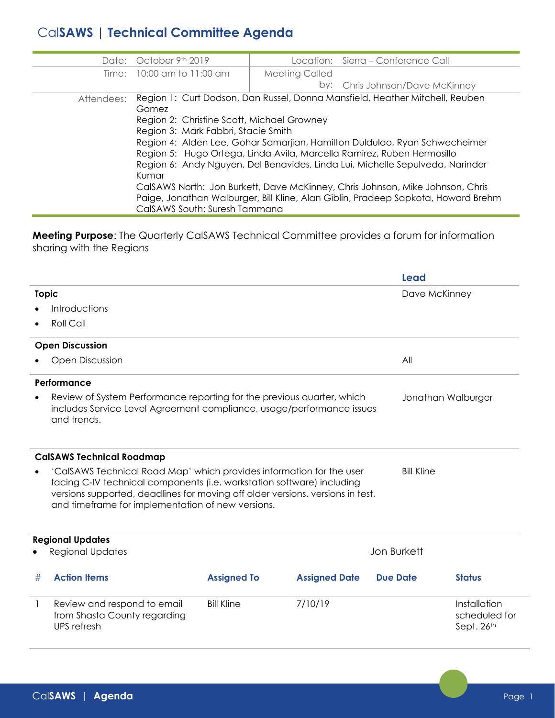## Cal**SAWS | Technical Committee Agenda**

|            | Date: October 9th 2019 |                                                                                                                                                                                                                                                                                                                                                                                                                                                                                                                                                                                                                   | Location: Sierra – Conference Call |  |  |  |
|------------|------------------------|-------------------------------------------------------------------------------------------------------------------------------------------------------------------------------------------------------------------------------------------------------------------------------------------------------------------------------------------------------------------------------------------------------------------------------------------------------------------------------------------------------------------------------------------------------------------------------------------------------------------|------------------------------------|--|--|--|
| Time:      | 10:00 am to 11:00 am   | <b>Meeting Called</b>                                                                                                                                                                                                                                                                                                                                                                                                                                                                                                                                                                                             |                                    |  |  |  |
|            |                        |                                                                                                                                                                                                                                                                                                                                                                                                                                                                                                                                                                                                                   | by: Chris Johnson/Dave McKinney    |  |  |  |
| Attendees: | Gomez<br>Kumar         | Region 1: Curt Dodson, Dan Russel, Donna Mansfield, Heather Mitchell, Reuben<br>Region 2: Christine Scott, Michael Growney<br>Region 3: Mark Fabbri, Stacie Smith<br>Region 4: Alden Lee, Gohar Samarjian, Hamilton Duldulao, Ryan Schwecheimer<br>Region 5: Hugo Ortega, Linda Avila, Marcella Ramirez, Ruben Hermosillo<br>Region 6: Andy Nguyen, Del Benavides, Linda Lui, Michelle Sepulveda, Narinder<br>CalSAWS North: Jon Burkett, Dave McKinney, Chris Johnson, Mike Johnson, Chris<br>Paige, Jonathan Walburger, Bill Kline, Alan Giblin, Pradeep Sapkota, Howard Brehm<br>CalSAWS South: Suresh Tammana |                                    |  |  |  |

**Meeting Purpose**: The Quarterly CalSAWS Technical Committee provides a forum for information sharing with the Regions

|                                  |                                                                                                                                                                                                                                                                                                            |                    |                      | <b>Lead</b>     |                                             |  |  |  |
|----------------------------------|------------------------------------------------------------------------------------------------------------------------------------------------------------------------------------------------------------------------------------------------------------------------------------------------------------|--------------------|----------------------|-----------------|---------------------------------------------|--|--|--|
| <b>Topic</b>                     |                                                                                                                                                                                                                                                                                                            |                    |                      |                 | Dave McKinney                               |  |  |  |
|                                  | Introductions                                                                                                                                                                                                                                                                                              |                    |                      |                 |                                             |  |  |  |
| $\bullet$                        | Roll Call                                                                                                                                                                                                                                                                                                  |                    |                      |                 |                                             |  |  |  |
|                                  | <b>Open Discussion</b>                                                                                                                                                                                                                                                                                     |                    |                      |                 |                                             |  |  |  |
| <b>Open Discussion</b>           |                                                                                                                                                                                                                                                                                                            |                    |                      |                 | All                                         |  |  |  |
|                                  | Performance                                                                                                                                                                                                                                                                                                |                    |                      |                 |                                             |  |  |  |
| $\bullet$                        | Review of System Performance reporting for the previous quarter, which<br>Jonathan Walburger<br>includes Service Level Agreement compliance, usage/performance issues<br>and trends.                                                                                                                       |                    |                      |                 |                                             |  |  |  |
| <b>CalSAWS Technical Roadmap</b> |                                                                                                                                                                                                                                                                                                            |                    |                      |                 |                                             |  |  |  |
| $\bullet$                        | 'CalSAWS Technical Road Map' which provides information for the user<br><b>Bill Kline</b><br>facing C-IV technical components (i.e. workstation software) including<br>versions supported, deadlines for moving off older versions, versions in test,<br>and timeframe for implementation of new versions. |                    |                      |                 |                                             |  |  |  |
|                                  | <b>Regional Updates</b>                                                                                                                                                                                                                                                                                    |                    |                      |                 |                                             |  |  |  |
|                                  | <b>Regional Updates</b>                                                                                                                                                                                                                                                                                    |                    | <b>Jon Burkett</b>   |                 |                                             |  |  |  |
| #                                | <b>Action Items</b>                                                                                                                                                                                                                                                                                        | <b>Assigned To</b> | <b>Assigned Date</b> | <b>Due Date</b> | <b>Status</b>                               |  |  |  |
| 1                                | Review and respond to email<br>from Shasta County regarding<br>UPS refresh                                                                                                                                                                                                                                 | <b>Bill Kline</b>  | 7/10/19              |                 | Installation<br>scheduled for<br>Sept. 26th |  |  |  |